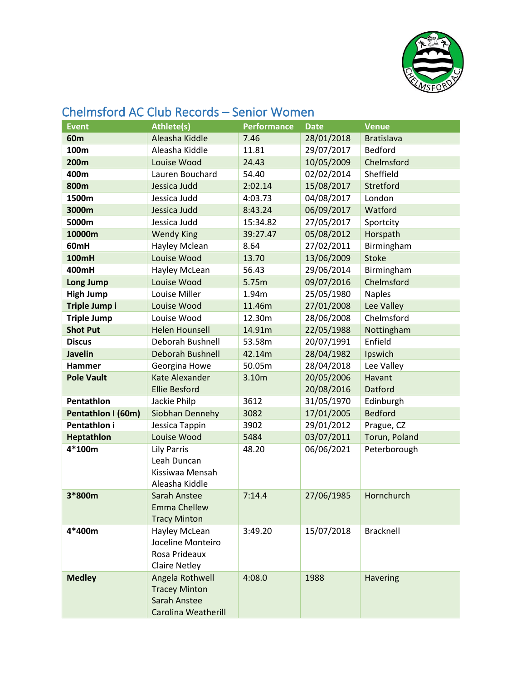

| 01 1 10 10 10 11 10 1<br>טוטוט ווכעטו עט<br><b>CHIP WAS</b> |                            |                    |             |                   |  |  |
|-------------------------------------------------------------|----------------------------|--------------------|-------------|-------------------|--|--|
| <b>Event</b>                                                | <b>Athlete(s)</b>          | <b>Performance</b> | <b>Date</b> | <b>Venue</b>      |  |  |
| 60 <sub>m</sub>                                             | Aleasha Kiddle             | 7.46               | 28/01/2018  | <b>Bratislava</b> |  |  |
| 100m                                                        | Aleasha Kiddle             | 11.81              | 29/07/2017  | <b>Bedford</b>    |  |  |
| 200m                                                        | Louise Wood                | 24.43              | 10/05/2009  | Chelmsford        |  |  |
| 400m                                                        | Lauren Bouchard            | 54.40              | 02/02/2014  | Sheffield         |  |  |
| 800m                                                        | Jessica Judd               | 2:02.14            | 15/08/2017  | Stretford         |  |  |
| 1500m                                                       | Jessica Judd               | 4:03.73            | 04/08/2017  | London            |  |  |
| 3000m                                                       | Jessica Judd               | 8:43.24            | 06/09/2017  | Watford           |  |  |
| 5000m                                                       | Jessica Judd               | 15:34.82           | 27/05/2017  | Sportcity         |  |  |
| 10000m                                                      | <b>Wendy King</b>          | 39:27.47           | 05/08/2012  | Horspath          |  |  |
| 60mH                                                        | Hayley Mclean              | 8.64               | 27/02/2011  | Birmingham        |  |  |
| <b>100mH</b>                                                | Louise Wood                | 13.70              | 13/06/2009  | <b>Stoke</b>      |  |  |
| 400mH                                                       | Hayley McLean              | 56.43              | 29/06/2014  | Birmingham        |  |  |
| Long Jump                                                   | Louise Wood                | 5.75m              | 09/07/2016  | Chelmsford        |  |  |
| <b>High Jump</b>                                            | Louise Miller              | 1.94m              | 25/05/1980  | <b>Naples</b>     |  |  |
| Triple Jump i                                               | Louise Wood                | 11.46m             | 27/01/2008  | Lee Valley        |  |  |
| <b>Triple Jump</b>                                          | Louise Wood                | 12.30m             | 28/06/2008  | Chelmsford        |  |  |
| <b>Shot Put</b>                                             | <b>Helen Hounsell</b>      | 14.91m             | 22/05/1988  | Nottingham        |  |  |
| <b>Discus</b>                                               | Deborah Bushnell           | 53.58m             | 20/07/1991  | Enfield           |  |  |
| <b>Javelin</b>                                              | <b>Deborah Bushnell</b>    | 42.14m             | 28/04/1982  | Ipswich           |  |  |
| <b>Hammer</b>                                               | Georgina Howe              | 50.05m             | 28/04/2018  | Lee Valley        |  |  |
| <b>Pole Vault</b>                                           | Kate Alexander             | 3.10m              | 20/05/2006  | Havant            |  |  |
|                                                             | <b>Ellie Besford</b>       |                    | 20/08/2016  | Datford           |  |  |
| Pentathlon                                                  | Jackie Philp               | 3612               | 31/05/1970  | Edinburgh         |  |  |
| Pentathlon I (60m)                                          | Siobhan Dennehy            | 3082               | 17/01/2005  | <b>Bedford</b>    |  |  |
| Pentathlon i                                                | Jessica Tappin             | 3902               | 29/01/2012  | Prague, CZ        |  |  |
| Heptathlon                                                  | Louise Wood                | 5484               | 03/07/2011  | Torun, Poland     |  |  |
| 4*100m                                                      | <b>Lily Parris</b>         | 48.20              | 06/06/2021  | Peterborough      |  |  |
|                                                             | Leah Duncan                |                    |             |                   |  |  |
|                                                             | Kissiwaa Mensah            |                    |             |                   |  |  |
|                                                             | Aleasha Kiddle             |                    |             |                   |  |  |
| 3*800m                                                      | Sarah Anstee               | 7:14.4             | 27/06/1985  | Hornchurch        |  |  |
|                                                             | <b>Emma Chellew</b>        |                    |             |                   |  |  |
|                                                             | <b>Tracy Minton</b>        |                    |             |                   |  |  |
| 4*400m                                                      | Hayley McLean              | 3:49.20            | 15/07/2018  | Bracknell         |  |  |
|                                                             | Joceline Monteiro          |                    |             |                   |  |  |
|                                                             | Rosa Prideaux              |                    |             |                   |  |  |
|                                                             | <b>Claire Netley</b>       |                    |             |                   |  |  |
| <b>Medley</b>                                               | Angela Rothwell            | 4:08.0             | 1988        | <b>Havering</b>   |  |  |
|                                                             | <b>Tracey Minton</b>       |                    |             |                   |  |  |
|                                                             | <b>Sarah Anstee</b>        |                    |             |                   |  |  |
|                                                             | <b>Carolina Weatherill</b> |                    |             |                   |  |  |

## Chelmsford AC Club Records – Senior Women